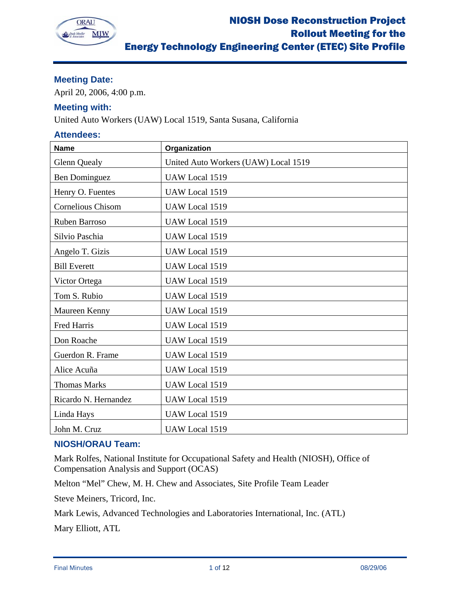

# **Meeting Date:**

April 20, 2006, 4:00 p.m.

# **Meeting with:**

United Auto Workers (UAW) Local 1519, Santa Susana, California

## **Attendees:**

| <b>Name</b>          | Organization                         |
|----------------------|--------------------------------------|
| <b>Glenn Quealy</b>  | United Auto Workers (UAW) Local 1519 |
| <b>Ben Dominguez</b> | UAW Local 1519                       |
| Henry O. Fuentes     | UAW Local 1519                       |
| Cornelious Chisom    | UAW Local 1519                       |
| Ruben Barroso        | UAW Local 1519                       |
| Silvio Paschia       | UAW Local 1519                       |
| Angelo T. Gizis      | UAW Local 1519                       |
| <b>Bill Everett</b>  | UAW Local 1519                       |
| Victor Ortega        | UAW Local 1519                       |
| Tom S. Rubio         | UAW Local 1519                       |
| Maureen Kenny        | UAW Local 1519                       |
| Fred Harris          | UAW Local 1519                       |
| Don Roache           | UAW Local 1519                       |
| Guerdon R. Frame     | UAW Local 1519                       |
| Alice Acuña          | UAW Local 1519                       |
| <b>Thomas Marks</b>  | UAW Local 1519                       |
| Ricardo N. Hernandez | UAW Local 1519                       |
| Linda Hays           | UAW Local 1519                       |
| John M. Cruz         | UAW Local 1519                       |

# **NIOSH/ORAU Team:**

Mark Rolfes, National Institute for Occupational Safety and Health (NIOSH), Office of Compensation Analysis and Support (OCAS)

Melton "Mel" Chew, M. H. Chew and Associates, Site Profile Team Leader

Steve Meiners, Tricord, Inc.

Mark Lewis, Advanced Technologies and Laboratories International, Inc. (ATL)

Mary Elliott, ATL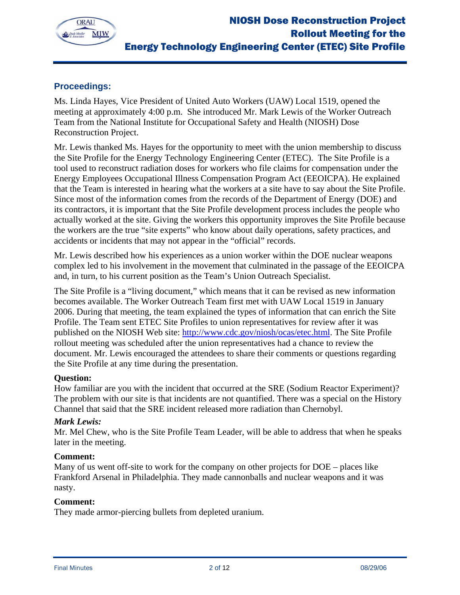

# **Proceedings:**

Ms. Linda Hayes, Vice President of United Auto Workers (UAW) Local 1519, opened the meeting at approximately 4:00 p.m. She introduced Mr. Mark Lewis of the Worker Outreach Team from the National Institute for Occupational Safety and Health (NIOSH) Dose Reconstruction Project.

Mr. Lewis thanked Ms. Hayes for the opportunity to meet with the union membership to discuss the Site Profile for the Energy Technology Engineering Center (ETEC). The Site Profile is a tool used to reconstruct radiation doses for workers who file claims for compensation under the Energy Employees Occupational Illness Compensation Program Act (EEOICPA). He explained that the Team is interested in hearing what the workers at a site have to say about the Site Profile. Since most of the information comes from the records of the Department of Energy (DOE) and its contractors, it is important that the Site Profile development process includes the people who actually worked at the site. Giving the workers this opportunity improves the Site Profile because the workers are the true "site experts" who know about daily operations, safety practices, and accidents or incidents that may not appear in the "official" records.

Mr. Lewis described how his experiences as a union worker within the DOE nuclear weapons complex led to his involvement in the movement that culminated in the passage of the EEOICPA and, in turn, to his current position as the Team's Union Outreach Specialist.

The Site Profile is a "living document," which means that it can be revised as new information becomes available. The Worker Outreach Team first met with UAW Local 1519 in January 2006. During that meeting, the team explained the types of information that can enrich the Site Profile. The Team sent ETEC Site Profiles to union representatives for review after it was published on the NIOSH Web site: http://www.cdc.gov/niosh/ocas/etec.html. The Site Profile rollout meeting was scheduled after the union representatives had a chance to review the document. Mr. Lewis encouraged the attendees to share their comments or questions regarding the Site Profile at any time during the presentation.

## **Question:**

How familiar are you with the incident that occurred at the SRE (Sodium Reactor Experiment)? The problem with our site is that incidents are not quantified. There was a special on the History Channel that said that the SRE incident released more radiation than Chernobyl.

## *Mark Lewis:*

Mr. Mel Chew, who is the Site Profile Team Leader, will be able to address that when he speaks later in the meeting.

#### **Comment:**

Many of us went off-site to work for the company on other projects for DOE – places like Frankford Arsenal in Philadelphia. They made cannonballs and nuclear weapons and it was nasty.

## **Comment:**

They made armor-piercing bullets from depleted uranium.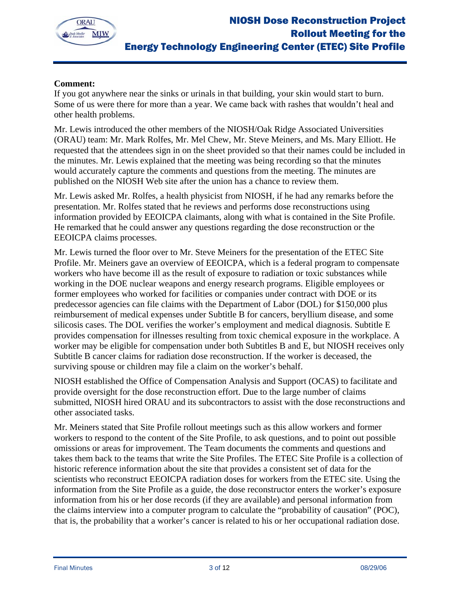

# **Comment:**

If you got anywhere near the sinks or urinals in that building, your skin would start to burn. Some of us were there for more than a year. We came back with rashes that wouldn't heal and other health problems.

Mr. Lewis introduced the other members of the NIOSH/Oak Ridge Associated Universities (ORAU) team: Mr. Mark Rolfes, Mr. Mel Chew, Mr. Steve Meiners, and Ms. Mary Elliott. He requested that the attendees sign in on the sheet provided so that their names could be included in the minutes. Mr. Lewis explained that the meeting was being recording so that the minutes would accurately capture the comments and questions from the meeting. The minutes are published on the NIOSH Web site after the union has a chance to review them.

Mr. Lewis asked Mr. Rolfes, a health physicist from NIOSH, if he had any remarks before the presentation. Mr. Rolfes stated that he reviews and performs dose reconstructions using information provided by EEOICPA claimants, along with what is contained in the Site Profile. He remarked that he could answer any questions regarding the dose reconstruction or the EEOICPA claims processes.

Mr. Lewis turned the floor over to Mr. Steve Meiners for the presentation of the ETEC Site Profile. Mr. Meiners gave an overview of EEOICPA, which is a federal program to compensate workers who have become ill as the result of exposure to radiation or toxic substances while working in the DOE nuclear weapons and energy research programs. Eligible employees or former employees who worked for facilities or companies under contract with DOE or its predecessor agencies can file claims with the Department of Labor (DOL) for \$150,000 plus reimbursement of medical expenses under Subtitle B for cancers, beryllium disease, and some silicosis cases. The DOL verifies the worker's employment and medical diagnosis. Subtitle E provides compensation for illnesses resulting from toxic chemical exposure in the workplace. A worker may be eligible for compensation under both Subtitles B and E, but NIOSH receives only Subtitle B cancer claims for radiation dose reconstruction. If the worker is deceased, the surviving spouse or children may file a claim on the worker's behalf.

NIOSH established the Office of Compensation Analysis and Support (OCAS) to facilitate and provide oversight for the dose reconstruction effort. Due to the large number of claims submitted, NIOSH hired ORAU and its subcontractors to assist with the dose reconstructions and other associated tasks.

Mr. Meiners stated that Site Profile rollout meetings such as this allow workers and former workers to respond to the content of the Site Profile, to ask questions, and to point out possible omissions or areas for improvement. The Team documents the comments and questions and takes them back to the teams that write the Site Profiles. The ETEC Site Profile is a collection of historic reference information about the site that provides a consistent set of data for the scientists who reconstruct EEOICPA radiation doses for workers from the ETEC site. Using the information from the Site Profile as a guide, the dose reconstructor enters the worker's exposure information from his or her dose records (if they are available) and personal information from the claims interview into a computer program to calculate the "probability of causation" (POC), that is, the probability that a worker's cancer is related to his or her occupational radiation dose.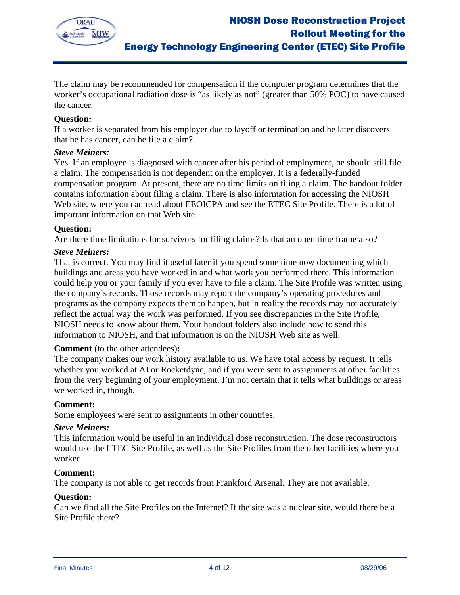

The claim may be recommended for compensation if the computer program determines that the worker's occupational radiation dose is "as likely as not" (greater than 50% POC) to have caused the cancer.

## **Question:**

If a worker is separated from his employer due to layoff or termination and he later discovers that he has cancer, can he file a claim?

## *Steve Meiners:*

Yes. If an employee is diagnosed with cancer after his period of employment, he should still file a claim. The compensation is not dependent on the employer. It is a federally-funded compensation program. At present, there are no time limits on filing a claim. The handout folder contains information about filing a claim. There is also information for accessing the NIOSH Web site, where you can read about EEOICPA and see the ETEC Site Profile. There is a lot of important information on that Web site.

## **Question:**

Are there time limitations for survivors for filing claims? Is that an open time frame also?

## *Steve Meiners:*

That is correct. You may find it useful later if you spend some time now documenting which buildings and areas you have worked in and what work you performed there. This information could help you or your family if you ever have to file a claim. The Site Profile was written using the company's records. Those records may report the company's operating procedures and programs as the company expects them to happen, but in reality the records may not accurately reflect the actual way the work was performed. If you see discrepancies in the Site Profile, NIOSH needs to know about them. Your handout folders also include how to send this information to NIOSH, and that information is on the NIOSH Web site as well.

#### **Comment** (to the other attendees)**:**

The company makes our work history available to us. We have total access by request. It tells whether you worked at AI or Rocketdyne, and if you were sent to assignments at other facilities from the very beginning of your employment. I'm not certain that it tells what buildings or areas we worked in, though.

#### **Comment:**

Some employees were sent to assignments in other countries.

#### *Steve Meiners:*

This information would be useful in an individual dose reconstruction. The dose reconstructors would use the ETEC Site Profile, as well as the Site Profiles from the other facilities where you worked.

#### **Comment:**

The company is not able to get records from Frankford Arsenal. They are not available.

#### **Question:**

Can we find all the Site Profiles on the Internet? If the site was a nuclear site, would there be a Site Profile there?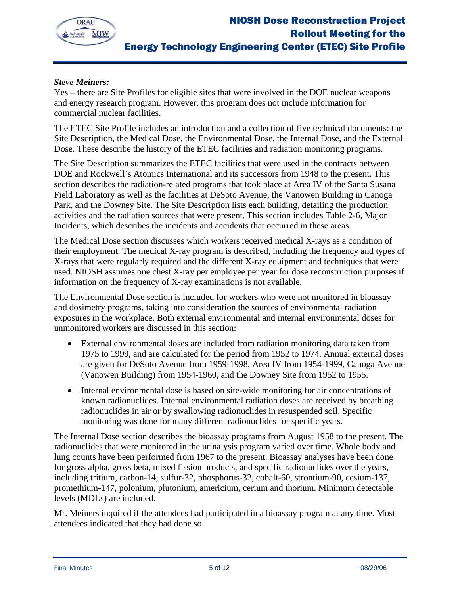

# *Steve Meiners:*

Yes – there are Site Profiles for eligible sites that were involved in the DOE nuclear weapons and energy research program. However, this program does not include information for commercial nuclear facilities.

The ETEC Site Profile includes an introduction and a collection of five technical documents: the Site Description, the Medical Dose, the Environmental Dose, the Internal Dose, and the External Dose. These describe the history of the ETEC facilities and radiation monitoring programs.

The Site Description summarizes the ETEC facilities that were used in the contracts between DOE and Rockwell's Atomics International and its successors from 1948 to the present. This section describes the radiation-related programs that took place at Area IV of the Santa Susana Field Laboratory as well as the facilities at DeSoto Avenue, the Vanowen Building in Canoga Park, and the Downey Site. The Site Description lists each building, detailing the production activities and the radiation sources that were present. This section includes Table 2-6, Major Incidents, which describes the incidents and accidents that occurred in these areas.

The Medical Dose section discusses which workers received medical X-rays as a condition of their employment. The medical X-ray program is described, including the frequency and types of X-rays that were regularly required and the different X-ray equipment and techniques that were used. NIOSH assumes one chest X-ray per employee per year for dose reconstruction purposes if information on the frequency of X-ray examinations is not available.

The Environmental Dose section is included for workers who were not monitored in bioassay and dosimetry programs, taking into consideration the sources of environmental radiation exposures in the workplace. Both external environmental and internal environmental doses for unmonitored workers are discussed in this section:

- External environmental doses are included from radiation monitoring data taken from 1975 to 1999, and are calculated for the period from 1952 to 1974. Annual external doses are given for DeSoto Avenue from 1959-1998, Area IV from 1954-1999, Canoga Avenue (Vanowen Building) from 1954-1960, and the Downey Site from 1952 to 1955.
- Internal environmental dose is based on site-wide monitoring for air concentrations of known radionuclides. Internal environmental radiation doses are received by breathing radionuclides in air or by swallowing radionuclides in resuspended soil. Specific monitoring was done for many different radionuclides for specific years.

The Internal Dose section describes the bioassay programs from August 1958 to the present. The radionuclides that were monitored in the urinalysis program varied over time. Whole body and lung counts have been performed from 1967 to the present. Bioassay analyses have been done for gross alpha, gross beta, mixed fission products, and specific radionuclides over the years, including tritium, carbon-14, sulfur-32, phosphorus-32, cobalt-60, strontium-90, cesium-137, promethium-147, polonium, plutonium, americium, cerium and thorium. Minimum detectable levels (MDLs) are included.

Mr. Meiners inquired if the attendees had participated in a bioassay program at any time. Most attendees indicated that they had done so.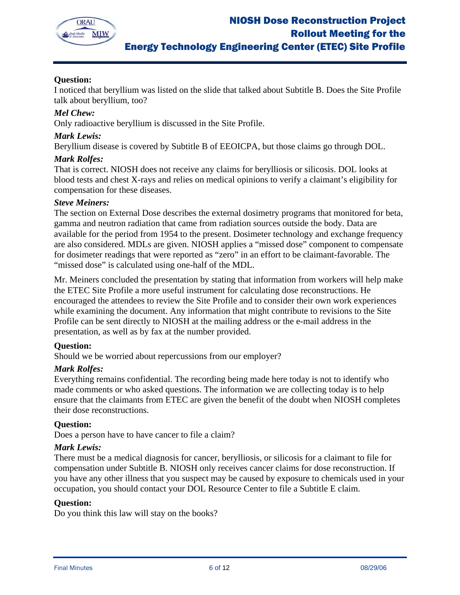

# **Question:**

I noticed that beryllium was listed on the slide that talked about Subtitle B. Does the Site Profile talk about beryllium, too?

## *Mel Chew:*

Only radioactive beryllium is discussed in the Site Profile.

### *Mark Lewis:*

Beryllium disease is covered by Subtitle B of EEOICPA, but those claims go through DOL.

## *Mark Rolfes:*

That is correct. NIOSH does not receive any claims for berylliosis or silicosis. DOL looks at blood tests and chest X-rays and relies on medical opinions to verify a claimant's eligibility for compensation for these diseases.

## *Steve Meiners:*

The section on External Dose describes the external dosimetry programs that monitored for beta, gamma and neutron radiation that came from radiation sources outside the body. Data are available for the period from 1954 to the present. Dosimeter technology and exchange frequency are also considered. MDLs are given. NIOSH applies a "missed dose" component to compensate for dosimeter readings that were reported as "zero" in an effort to be claimant-favorable. The "missed dose" is calculated using one-half of the MDL.

Mr. Meiners concluded the presentation by stating that information from workers will help make the ETEC Site Profile a more useful instrument for calculating dose reconstructions. He encouraged the attendees to review the Site Profile and to consider their own work experiences while examining the document. Any information that might contribute to revisions to the Site Profile can be sent directly to NIOSH at the mailing address or the e-mail address in the presentation, as well as by fax at the number provided.

## **Question:**

Should we be worried about repercussions from our employer?

#### *Mark Rolfes:*

Everything remains confidential. The recording being made here today is not to identify who made comments or who asked questions. The information we are collecting today is to help ensure that the claimants from ETEC are given the benefit of the doubt when NIOSH completes their dose reconstructions.

#### **Question:**

Does a person have to have cancer to file a claim?

### *Mark Lewis:*

There must be a medical diagnosis for cancer, berylliosis, or silicosis for a claimant to file for compensation under Subtitle B. NIOSH only receives cancer claims for dose reconstruction. If you have any other illness that you suspect may be caused by exposure to chemicals used in your occupation, you should contact your DOL Resource Center to file a Subtitle E claim.

#### **Question:**

Do you think this law will stay on the books?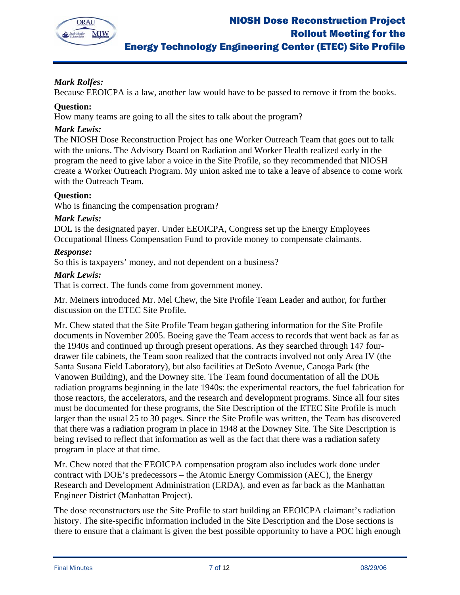

# *Mark Rolfes:*

Because EEOICPA is a law, another law would have to be passed to remove it from the books.

# **Question:**

How many teams are going to all the sites to talk about the program?

# *Mark Lewis:*

The NIOSH Dose Reconstruction Project has one Worker Outreach Team that goes out to talk with the unions. The Advisory Board on Radiation and Worker Health realized early in the program the need to give labor a voice in the Site Profile, so they recommended that NIOSH create a Worker Outreach Program. My union asked me to take a leave of absence to come work with the Outreach Team.

# **Question:**

Who is financing the compensation program?

## *Mark Lewis:*

DOL is the designated payer. Under EEOICPA, Congress set up the Energy Employees Occupational Illness Compensation Fund to provide money to compensate claimants.

# *Response:*

So this is taxpayers' money, and not dependent on a business?

# *Mark Lewis:*

That is correct. The funds come from government money.

Mr. Meiners introduced Mr. Mel Chew, the Site Profile Team Leader and author, for further discussion on the ETEC Site Profile.

Mr. Chew stated that the Site Profile Team began gathering information for the Site Profile documents in November 2005. Boeing gave the Team access to records that went back as far as the 1940s and continued up through present operations. As they searched through 147 fourdrawer file cabinets, the Team soon realized that the contracts involved not only Area IV (the Santa Susana Field Laboratory), but also facilities at DeSoto Avenue, Canoga Park (the Vanowen Building), and the Downey site. The Team found documentation of all the DOE radiation programs beginning in the late 1940s: the experimental reactors, the fuel fabrication for those reactors, the accelerators, and the research and development programs. Since all four sites must be documented for these programs, the Site Description of the ETEC Site Profile is much larger than the usual 25 to 30 pages. Since the Site Profile was written, the Team has discovered that there was a radiation program in place in 1948 at the Downey Site. The Site Description is being revised to reflect that information as well as the fact that there was a radiation safety program in place at that time.

Mr. Chew noted that the EEOICPA compensation program also includes work done under contract with DOE's predecessors – the Atomic Energy Commission (AEC), the Energy Research and Development Administration (ERDA), and even as far back as the Manhattan Engineer District (Manhattan Project).

The dose reconstructors use the Site Profile to start building an EEOICPA claimant's radiation history. The site-specific information included in the Site Description and the Dose sections is there to ensure that a claimant is given the best possible opportunity to have a POC high enough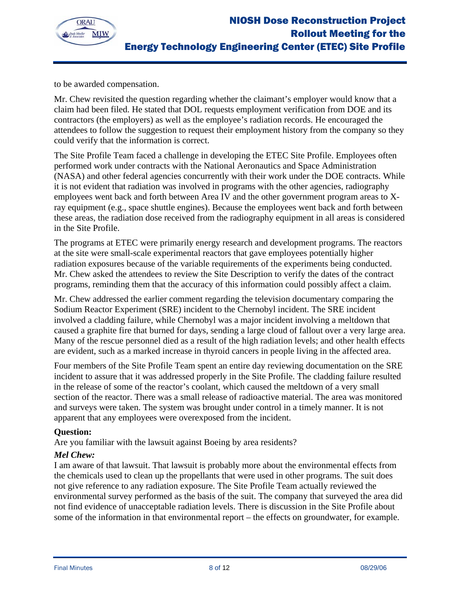

to be awarded compensation.

Mr. Chew revisited the question regarding whether the claimant's employer would know that a claim had been filed. He stated that DOL requests employment verification from DOE and its contractors (the employers) as well as the employee's radiation records. He encouraged the attendees to follow the suggestion to request their employment history from the company so they could verify that the information is correct.

The Site Profile Team faced a challenge in developing the ETEC Site Profile. Employees often performed work under contracts with the National Aeronautics and Space Administration (NASA) and other federal agencies concurrently with their work under the DOE contracts. While it is not evident that radiation was involved in programs with the other agencies, radiography employees went back and forth between Area IV and the other government program areas to Xray equipment (e.g., space shuttle engines). Because the employees went back and forth between these areas, the radiation dose received from the radiography equipment in all areas is considered in the Site Profile.

The programs at ETEC were primarily energy research and development programs. The reactors at the site were small-scale experimental reactors that gave employees potentially higher radiation exposures because of the variable requirements of the experiments being conducted. Mr. Chew asked the attendees to review the Site Description to verify the dates of the contract programs, reminding them that the accuracy of this information could possibly affect a claim.

Mr. Chew addressed the earlier comment regarding the television documentary comparing the Sodium Reactor Experiment (SRE) incident to the Chernobyl incident. The SRE incident involved a cladding failure, while Chernobyl was a major incident involving a meltdown that caused a graphite fire that burned for days, sending a large cloud of fallout over a very large area. Many of the rescue personnel died as a result of the high radiation levels; and other health effects are evident, such as a marked increase in thyroid cancers in people living in the affected area.

Four members of the Site Profile Team spent an entire day reviewing documentation on the SRE incident to assure that it was addressed properly in the Site Profile. The cladding failure resulted in the release of some of the reactor's coolant, which caused the meltdown of a very small section of the reactor. There was a small release of radioactive material. The area was monitored and surveys were taken. The system was brought under control in a timely manner. It is not apparent that any employees were overexposed from the incident.

## **Question:**

Are you familiar with the lawsuit against Boeing by area residents?

## *Mel Chew:*

I am aware of that lawsuit. That lawsuit is probably more about the environmental effects from the chemicals used to clean up the propellants that were used in other programs. The suit does not give reference to any radiation exposure. The Site Profile Team actually reviewed the environmental survey performed as the basis of the suit. The company that surveyed the area did not find evidence of unacceptable radiation levels. There is discussion in the Site Profile about some of the information in that environmental report – the effects on groundwater, for example.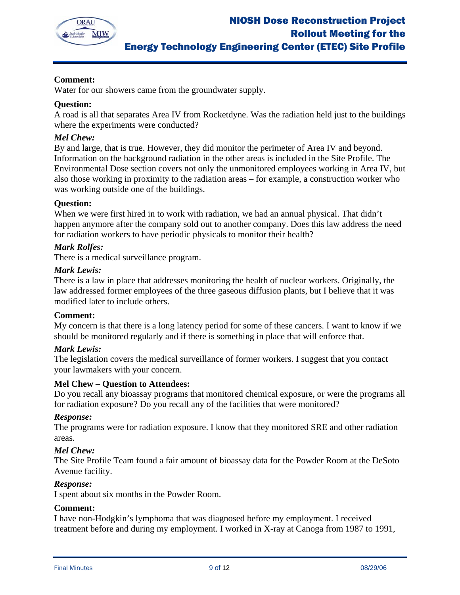

# **Comment:**

Water for our showers came from the groundwater supply.

## **Question:**

A road is all that separates Area IV from Rocketdyne. Was the radiation held just to the buildings where the experiments were conducted?

### *Mel Chew:*

By and large, that is true. However, they did monitor the perimeter of Area IV and beyond. Information on the background radiation in the other areas is included in the Site Profile. The Environmental Dose section covers not only the unmonitored employees working in Area IV, but also those working in proximity to the radiation areas – for example, a construction worker who was working outside one of the buildings.

## **Question:**

When we were first hired in to work with radiation, we had an annual physical. That didn't happen anymore after the company sold out to another company. Does this law address the need for radiation workers to have periodic physicals to monitor their health?

## *Mark Rolfes:*

There is a medical surveillance program.

#### *Mark Lewis:*

There is a law in place that addresses monitoring the health of nuclear workers. Originally, the law addressed former employees of the three gaseous diffusion plants, but I believe that it was modified later to include others.

#### **Comment:**

My concern is that there is a long latency period for some of these cancers. I want to know if we should be monitored regularly and if there is something in place that will enforce that.

#### *Mark Lewis:*

The legislation covers the medical surveillance of former workers. I suggest that you contact your lawmakers with your concern.

#### **Mel Chew – Question to Attendees:**

Do you recall any bioassay programs that monitored chemical exposure, or were the programs all for radiation exposure? Do you recall any of the facilities that were monitored?

#### *Response:*

The programs were for radiation exposure. I know that they monitored SRE and other radiation areas.

#### *Mel Chew:*

The Site Profile Team found a fair amount of bioassay data for the Powder Room at the DeSoto Avenue facility.

#### *Response:*

I spent about six months in the Powder Room.

#### **Comment:**

I have non-Hodgkin's lymphoma that was diagnosed before my employment. I received treatment before and during my employment. I worked in X-ray at Canoga from 1987 to 1991,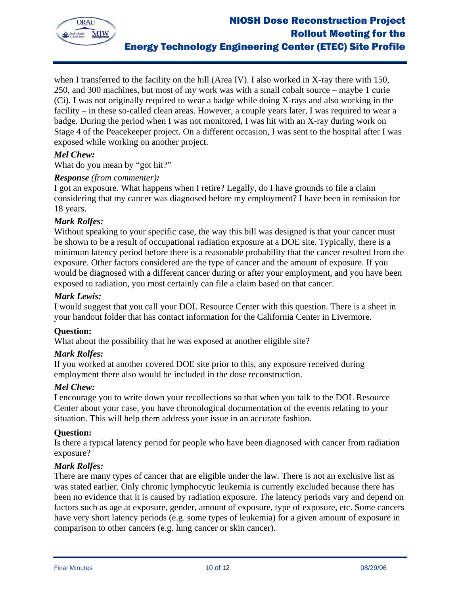

when I transferred to the facility on the hill (Area IV). I also worked in X-ray there with 150, 250, and 300 machines, but most of my work was with a small cobalt source – maybe 1 curie (Ci). I was not originally required to wear a badge while doing X-rays and also working in the facility – in these so-called clean areas. However, a couple years later, I was required to wear a badge. During the period when I was not monitored, I was hit with an X-ray during work on Stage 4 of the Peacekeeper project. On a different occasion, I was sent to the hospital after I was exposed while working on another project.

## *Mel Chew:*

What do you mean by "got hit?"

## *Response (from commenter):*

I got an exposure. What happens when I retire? Legally, do I have grounds to file a claim considering that my cancer was diagnosed before my employment? I have been in remission for 18 years.

#### *Mark Rolfes:*

Without speaking to your specific case, the way this bill was designed is that your cancer must be shown to be a result of occupational radiation exposure at a DOE site. Typically, there is a minimum latency period before there is a reasonable probability that the cancer resulted from the exposure. Other factors considered are the type of cancer and the amount of exposure. If you would be diagnosed with a different cancer during or after your employment, and you have been exposed to radiation, you most certainly can file a claim based on that cancer.

#### *Mark Lewis:*

I would suggest that you call your DOL Resource Center with this question. There is a sheet in your handout folder that has contact information for the California Center in Livermore.

#### **Question:**

What about the possibility that he was exposed at another eligible site?

#### *Mark Rolfes:*

If you worked at another covered DOE site prior to this, any exposure received during employment there also would be included in the dose reconstruction.

#### *Mel Chew:*

I encourage you to write down your recollections so that when you talk to the DOL Resource Center about your case, you have chronological documentation of the events relating to your situation. This will help them address your issue in an accurate fashion.

#### **Question:**

Is there a typical latency period for people who have been diagnosed with cancer from radiation exposure?

#### *Mark Rolfes:*

There are many types of cancer that are eligible under the law. There is not an exclusive list as was stated earlier. Only chronic lymphocytic leukemia is currently excluded because there has been no evidence that it is caused by radiation exposure. The latency periods vary and depend on factors such as age at exposure, gender, amount of exposure, type of exposure, etc. Some cancers have very short latency periods (e.g. some types of leukemia) for a given amount of exposure in comparison to other cancers (e.g. lung cancer or skin cancer).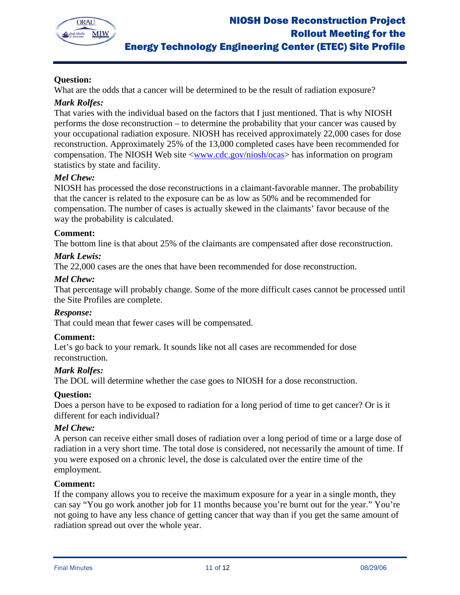

# **Question:**

What are the odds that a cancer will be determined to be the result of radiation exposure?

## *Mark Rolfes:*

That varies with the individual based on the factors that I just mentioned. That is why NIOSH performs the dose reconstruction – to determine the probability that your cancer was caused by your occupational radiation exposure. NIOSH has received approximately 22,000 cases for dose reconstruction. Approximately 25% of the 13,000 completed cases have been recommended for compensation. The NIOSH Web site <www.cdc.gov/niosh/ocas> has information on program statistics by state and facility.

## *Mel Chew:*

NIOSH has processed the dose reconstructions in a claimant-favorable manner. The probability that the cancer is related to the exposure can be as low as 50% and be recommended for compensation. The number of cases is actually skewed in the claimants' favor because of the way the probability is calculated.

## **Comment:**

The bottom line is that about 25% of the claimants are compensated after dose reconstruction.

## *Mark Lewis:*

The 22,000 cases are the ones that have been recommended for dose reconstruction.

## *Mel Chew:*

That percentage will probably change. Some of the more difficult cases cannot be processed until the Site Profiles are complete.

#### *Response:*

That could mean that fewer cases will be compensated.

#### **Comment:**

Let's go back to your remark. It sounds like not all cases are recommended for dose reconstruction.

## *Mark Rolfes:*

The DOL will determine whether the case goes to NIOSH for a dose reconstruction.

#### **Question:**

Does a person have to be exposed to radiation for a long period of time to get cancer? Or is it different for each individual?

#### *Mel Chew:*

A person can receive either small doses of radiation over a long period of time or a large dose of radiation in a very short time. The total dose is considered, not necessarily the amount of time. If you were exposed on a chronic level, the dose is calculated over the entire time of the employment.

#### **Comment:**

If the company allows you to receive the maximum exposure for a year in a single month, they can say "You go work another job for 11 months because you're burnt out for the year." You're not going to have any less chance of getting cancer that way than if you get the same amount of radiation spread out over the whole year.